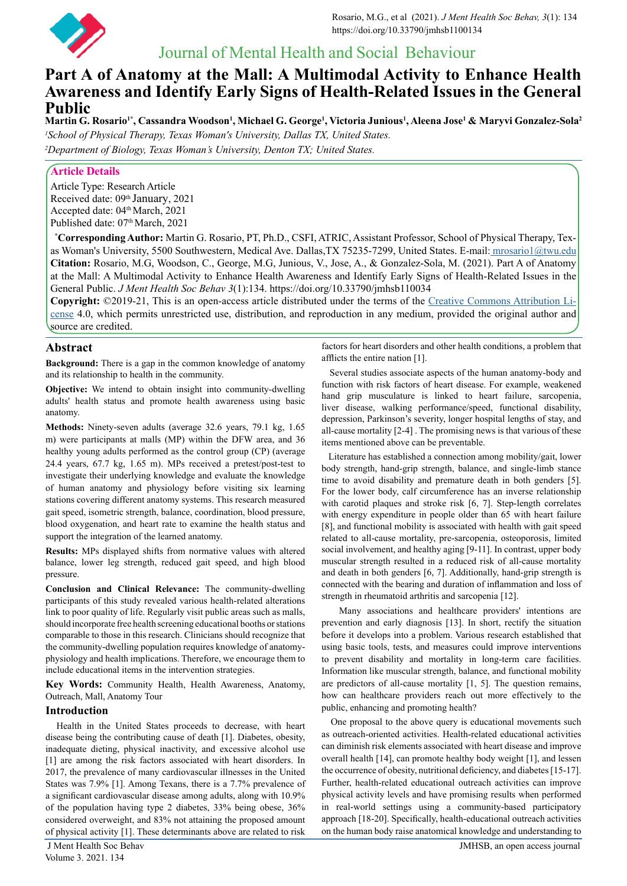

# Journal of Mental Health and Social Behaviour

# **Part A of Anatomy at the Mall: A Multimodal Activity to Enhance Health Awareness and Identify Early Signs of Health-Related Issues in the General Public**

 $M$ artin G. Rosario<sup>1</sup>\*, Cassandra Woodson<sup>1</sup>, Michael G. George<sup>1</sup>, Victoria Junious<sup>1</sup>, Aleena Jose<sup>1</sup> & Maryvi Gonzalez-Sola<sup>2</sup> *1 School of Physical Therapy, Texas Woman's University, Dallas TX, United States.*

*2 Department of Biology, Texas Woman's University, Denton TX; United States.*

# **Article Details**

Article Type: Research Article Received date: 09th January, 2021 Accepted date: 04<sup>th</sup> March, 2021 Published date: 07<sup>th</sup> March, 2021

 **\* Corresponding Author:** Martin G. Rosario, PT, Ph.D., CSFI, ATRIC, Assistant Professor, School of Physical Therapy, Texas Woman's University, 5500 Southwestern, Medical Ave. Dallas,TX 75235-7299, United States. E-mail:[mrosario1@twu.edu](mailto:mrosario1%40twu.edu%20%20?subject=mrosario1%40twu.edu%20) **Citation:** Rosario, M.G, Woodson, C., George, M.G, Junious, V., Jose, A., & Gonzalez-Sola, M. (2021). Part A of Anatomy at the Mall: A Multimodal Activity to Enhance Health Awareness and Identify Early Signs of Health-Related Issues in the General Public. *J Ment Health Soc Behav 3*(1):134. https://doi.org/10.33790/jmhsb110034

**Copyright:** ©2019-21, This is an open-access article distributed under the terms of the [Creative Commons Attribution Li](https://creativecommons.org/licenses/)[cense](https://creativecommons.org/licenses/) 4.0, which permits unrestricted use, distribution, and reproduction in any medium, provided the original author and source are credited.

# **Abstract**

**Background:** There is a gap in the common knowledge of anatomy and its relationship to health in the community.

**Objective:** We intend to obtain insight into community-dwelling adults' health status and promote health awareness using basic anatomy.

**Methods:** Ninety-seven adults (average 32.6 years, 79.1 kg, 1.65 m) were participants at malls (MP) within the DFW area, and 36 healthy young adults performed as the control group (CP) (average 24.4 years, 67.7 kg, 1.65 m). MPs received a pretest/post-test to investigate their underlying knowledge and evaluate the knowledge of human anatomy and physiology before visiting six learning stations covering different anatomy systems. This research measured gait speed, isometric strength, balance, coordination, blood pressure, blood oxygenation, and heart rate to examine the health status and support the integration of the learned anatomy.

**Results:** MPs displayed shifts from normative values with altered balance, lower leg strength, reduced gait speed, and high blood pressure.

**Conclusion and Clinical Relevance:** The community-dwelling participants of this study revealed various health-related alterations link to poor quality of life. Regularly visit public areas such as malls, should incorporate free health screening educational booths or stations comparable to those in this research. Clinicians should recognize that the community-dwelling population requires knowledge of anatomyphysiology and health implications. Therefore, we encourage them to include educational items in the intervention strategies.

**Key Words:** Community Health, Health Awareness, Anatomy, Outreach, Mall, Anatomy Tour

# **Introduction**

Health in the United States proceeds to decrease, with heart disease being the contributing cause of death [1]. Diabetes, obesity, inadequate dieting, physical inactivity, and excessive alcohol use [1] are among the risk factors associated with heart disorders. In 2017, the prevalence of many cardiovascular illnesses in the United States was 7.9% [1]. Among Texans, there is a 7.7% prevalence of a significant cardiovascular disease among adults, along with 10.9% of the population having type 2 diabetes, 33% being obese, 36% considered overweight, and 83% not attaining the proposed amount of physical activity [1]. These determinants above are related to risk

Volume 3. 2021. 134

factors for heart disorders and other health conditions, a problem that afflicts the entire nation [1].

 Several studies associate aspects of the human anatomy-body and function with risk factors of heart disease. For example, weakened hand grip musculature is linked to heart failure, sarcopenia, liver disease, walking performance/speed, functional disability, depression, Parkinson's severity, longer hospital lengths of stay, and all-cause mortality [2-4] . The promising news is that various of these items mentioned above can be preventable.

 Literature has established a connection among mobility/gait, lower body strength, hand-grip strength, balance, and single-limb stance time to avoid disability and premature death in both genders [5]. For the lower body, calf circumference has an inverse relationship with carotid plaques and stroke risk [6, 7]. Step-length correlates with energy expenditure in people older than 65 with heart failure [8], and functional mobility is associated with health with gait speed related to all-cause mortality, pre-sarcopenia, osteoporosis, limited social involvement, and healthy aging [9-11]. In contrast, upper body muscular strength resulted in a reduced risk of all-cause mortality and death in both genders [6, 7]. Additionally, hand-grip strength is connected with the bearing and duration of inflammation and loss of strength in rheumatoid arthritis and sarcopenia [12].

 Many associations and healthcare providers' intentions are prevention and early diagnosis [13]. In short, rectify the situation before it develops into a problem. Various research established that using basic tools, tests, and measures could improve interventions to prevent disability and mortality in long-term care facilities. Information like muscular strength, balance, and functional mobility are predictors of all-cause mortality [1, 5]. The question remains, how can healthcare providers reach out more effectively to the public, enhancing and promoting health?

 One proposal to the above query is educational movements such as outreach-oriented activities. Health-related educational activities can diminish risk elements associated with heart disease and improve overall health [14], can promote healthy body weight [1], and lessen the occurrence of obesity, nutritional deficiency, and diabetes [15-17]. Further, health-related educational outreach activities can improve physical activity levels and have promising results when performed in real-world settings using a community-based participatory approach [18-20]. Specifically, health-educational outreach activities on the human body raise anatomical knowledge and understanding to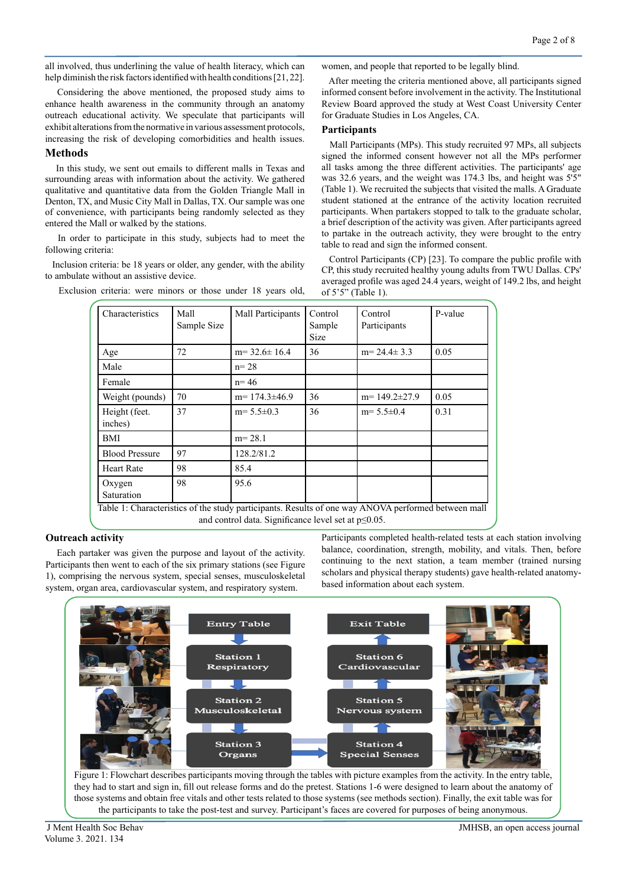all involved, thus underlining the value of health literacy, which can help diminish the risk factors identified with health conditions [21, 22].

 Considering the above mentioned, the proposed study aims to enhance health awareness in the community through an anatomy outreach educational activity. We speculate that participants will exhibit alterations from the normative in various assessment protocols, increasing the risk of developing comorbidities and health issues.

## **Methods**

In this study, we sent out emails to different malls in Texas and surrounding areas with information about the activity. We gathered qualitative and quantitative data from the Golden Triangle Mall in Denton, TX, and Music City Mall in Dallas, TX. Our sample was one of convenience, with participants being randomly selected as they entered the Mall or walked by the stations.

 In order to participate in this study, subjects had to meet the following criteria:

 Inclusion criteria: be 18 years or older, any gender, with the ability to ambulate without an assistive device.

Exclusion criteria: were minors or those under 18 years old,

women, and people that reported to be legally blind.

 After meeting the criteria mentioned above, all participants signed informed consent before involvement in the activity. The Institutional Review Board approved the study at West Coast University Center for Graduate Studies in Los Angeles, CA.

## **Participants**

Mall Participants (MPs). This study recruited 97 MPs, all subjects signed the informed consent however not all the MPs performer all tasks among the three different activities. The participants' age was 32.6 years, and the weight was 174.3 lbs, and height was 5'5" (Table 1). We recruited the subjects that visited the malls. A Graduate student stationed at the entrance of the activity location recruited participants. When partakers stopped to talk to the graduate scholar, a brief description of the activity was given. After participants agreed to partake in the outreach activity, they were brought to the entry table to read and sign the informed consent.

 Control Participants (CP) [23]. To compare the public profile with CP, this study recruited healthy young adults from TWU Dallas. CPs' averaged profile was aged 24.4 years, weight of 149.2 lbs, and height of 5'5" (Table 1).

| Mall<br>Sample Size | Mall Participants | Control<br>Sample<br><b>Size</b> | Control<br>Participants | P-value |
|---------------------|-------------------|----------------------------------|-------------------------|---------|
| 72                  | $m=32.6\pm 16.4$  | 36                               | $m=24.4\pm 3.3$         | 0.05    |
|                     | $n = 28$          |                                  |                         |         |
|                     | $n = 46$          |                                  |                         |         |
| 70                  | $m=174.3\pm46.9$  | 36                               | $m=149.2\pm27.9$        | 0.05    |
| 37                  | $m=5.5\pm0.3$     | 36                               | $m=5.5\pm0.4$           | 0.31    |
|                     | $m = 28.1$        |                                  |                         |         |
| 97                  | 128.2/81.2        |                                  |                         |         |
| 98                  | 85.4              |                                  |                         |         |
| 98                  | 95.6              |                                  |                         |         |
|                     |                   |                                  |                         |         |

and control data. Significance level set at p≤0.05.

# **Outreach activity**

Each partaker was given the purpose and layout of the activity. Participants then went to each of the six primary stations (see Figure 1), comprising the nervous system, special senses, musculoskeletal system, organ area, cardiovascular system, and respiratory system.

Participants completed health-related tests at each station involving balance, coordination, strength, mobility, and vitals. Then, before continuing to the next station, a team member (trained nursing scholars and physical therapy students) gave health-related anatomybased information about each system.



the participants to take the post-test and survey. Participant's faces are covered for purposes of being anonymous.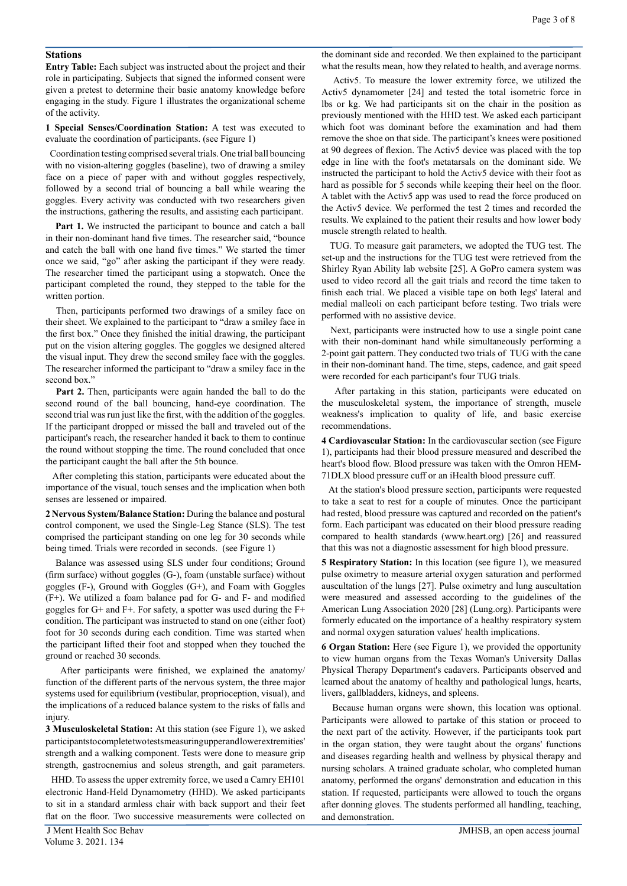#### **Stations**

**Entry Table:** Each subject was instructed about the project and their role in participating. Subjects that signed the informed consent were given a pretest to determine their basic anatomy knowledge before engaging in the study. Figure 1 illustrates the organizational scheme of the activity.

**1 Special Senses/Coordination Station:** A test was executed to evaluate the coordination of participants. (see Figure 1)

 Coordination testing comprised several trials. One trial ball bouncing with no vision-altering goggles (baseline), two of drawing a smiley face on a piece of paper with and without goggles respectively, followed by a second trial of bouncing a ball while wearing the goggles. Every activity was conducted with two researchers given the instructions, gathering the results, and assisting each participant.

 **Part 1.** We instructed the participant to bounce and catch a ball in their non-dominant hand five times. The researcher said, "bounce and catch the ball with one hand five times." We started the timer once we said, "go" after asking the participant if they were ready. The researcher timed the participant using a stopwatch. Once the participant completed the round, they stepped to the table for the written portion.

 Then, participants performed two drawings of a smiley face on their sheet. We explained to the participant to "draw a smiley face in the first box." Once they finished the initial drawing, the participant put on the vision altering goggles. The goggles we designed altered the visual input. They drew the second smiley face with the goggles. The researcher informed the participant to "draw a smiley face in the second box."

 **Part 2.** Then, participants were again handed the ball to do the second round of the ball bouncing, hand-eye coordination. The second trial was run just like the first, with the addition of the goggles. If the participant dropped or missed the ball and traveled out of the participant's reach, the researcher handed it back to them to continue the round without stopping the time. The round concluded that once the participant caught the ball after the 5th bounce.

 After completing this station, participants were educated about the importance of the visual, touch senses and the implication when both senses are lessened or impaired.

**2 Nervous System/Balance Station:** During the balance and postural control component, we used the Single-Leg Stance (SLS). The test comprised the participant standing on one leg for 30 seconds while being timed. Trials were recorded in seconds. (see Figure 1)

 Balance was assessed using SLS under four conditions; Ground (firm surface) without goggles (G-), foam (unstable surface) without goggles (F-), Ground with Goggles (G+), and Foam with Goggles (F+). We utilized a foam balance pad for G- and F- and modified goggles for G+ and F+. For safety, a spotter was used during the F+ condition. The participant was instructed to stand on one (either foot) foot for 30 seconds during each condition. Time was started when the participant lifted their foot and stopped when they touched the ground or reached 30 seconds.

 After participants were finished, we explained the anatomy/ function of the different parts of the nervous system, the three major systems used for equilibrium (vestibular, proprioception, visual), and the implications of a reduced balance system to the risks of falls and injury.

**3 Musculoskeletal Station:** At this station (see Figure 1), we asked participants to complete two tests measuring upper and lower extremities' strength and a walking component. Tests were done to measure grip strength, gastrocnemius and soleus strength, and gait parameters.

 HHD. To assess the upper extremity force, we used a Camry EH101 electronic Hand-Held Dynamometry (HHD). We asked participants to sit in a standard armless chair with back support and their feet flat on the floor. Two successive measurements were collected on

the dominant side and recorded. We then explained to the participant what the results mean, how they related to health, and average norms.

 Activ5. To measure the lower extremity force, we utilized the Activ5 dynamometer [24] and tested the total isometric force in lbs or kg. We had participants sit on the chair in the position as previously mentioned with the HHD test. We asked each participant which foot was dominant before the examination and had them remove the shoe on that side. The participant's knees were positioned at 90 degrees of flexion. The Activ5 device was placed with the top edge in line with the foot's metatarsals on the dominant side. We instructed the participant to hold the Activ5 device with their foot as hard as possible for 5 seconds while keeping their heel on the floor. A tablet with the Activ5 app was used to read the force produced on the Activ5 device. We performed the test 2 times and recorded the results. We explained to the patient their results and how lower body muscle strength related to health.

 TUG. To measure gait parameters, we adopted the TUG test. The set-up and the instructions for the TUG test were retrieved from the Shirley Ryan Ability lab website [25]. A GoPro camera system was used to video record all the gait trials and record the time taken to finish each trial. We placed a visible tape on both legs' lateral and medial malleoli on each participant before testing. Two trials were performed with no assistive device.

 Next, participants were instructed how to use a single point cane with their non-dominant hand while simultaneously performing a 2-point gait pattern. They conducted two trials of TUG with the cane in their non-dominant hand. The time, steps, cadence, and gait speed were recorded for each participant's four TUG trials.

 After partaking in this station, participants were educated on the musculoskeletal system, the importance of strength, muscle weakness's implication to quality of life, and basic exercise recommendations.

**4 Cardiovascular Station:** In the cardiovascular section (see Figure 1), participants had their blood pressure measured and described the heart's blood flow. Blood pressure was taken with the Omron HEM-71DLX blood pressure cuff or an iHealth blood pressure cuff.

 At the station's blood pressure section, participants were requested to take a seat to rest for a couple of minutes. Once the participant had rested, blood pressure was captured and recorded on the patient's form. Each participant was educated on their blood pressure reading compared to health standards (www.heart.org) [26] and reassured that this was not a diagnostic assessment for high blood pressure.

**5 Respiratory Station:** In this location (see figure 1), we measured pulse oximetry to measure arterial oxygen saturation and performed auscultation of the lungs [27]. Pulse oximetry and lung auscultation were measured and assessed according to the guidelines of the American Lung Association 2020 [28] (Lung.org). Participants were formerly educated on the importance of a healthy respiratory system and normal oxygen saturation values' health implications.

**6 Organ Station:** Here (see Figure 1), we provided the opportunity to view human organs from the Texas Woman's University Dallas Physical Therapy Department's cadavers. Participants observed and learned about the anatomy of healthy and pathological lungs, hearts, livers, gallbladders, kidneys, and spleens.

 Because human organs were shown, this location was optional. Participants were allowed to partake of this station or proceed to the next part of the activity. However, if the participants took part in the organ station, they were taught about the organs' functions and diseases regarding health and wellness by physical therapy and nursing scholars. A trained graduate scholar, who completed human anatomy, performed the organs' demonstration and education in this station. If requested, participants were allowed to touch the organs after donning gloves. The students performed all handling, teaching, and demonstration.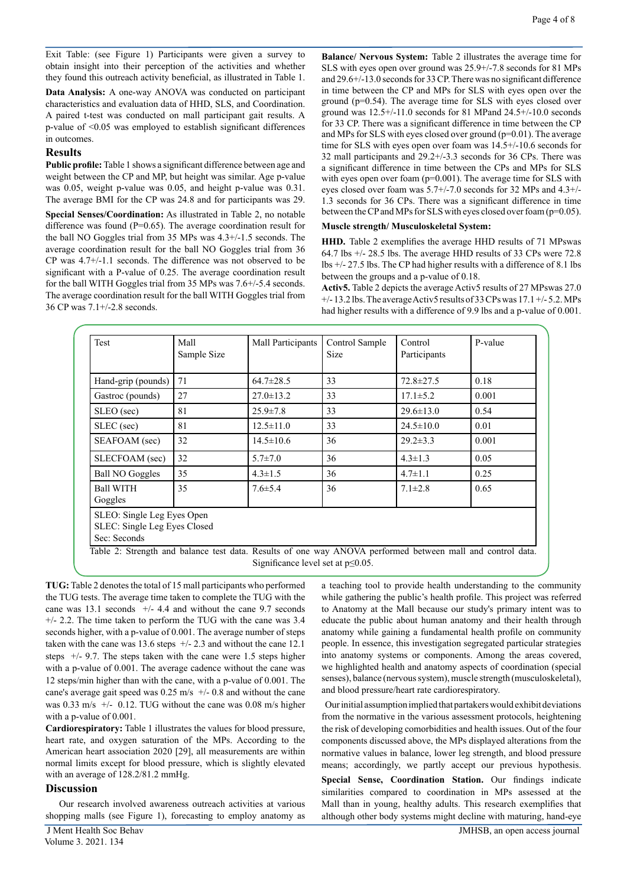Exit Table: (see Figure 1) Participants were given a survey to obtain insight into their perception of the activities and whether they found this outreach activity beneficial, as illustrated in Table 1.

**Data Analysis:** A one-way ANOVA was conducted on participant characteristics and evaluation data of HHD, SLS, and Coordination. A paired t-test was conducted on mall participant gait results. A p-value of <0.05 was employed to establish significant differences in outcomes.

## **Results**

**Public profile:** Table 1 shows a significant difference between age and weight between the CP and MP, but height was similar. Age p-value was 0.05, weight p-value was 0.05, and height p-value was 0.31. The average BMI for the CP was 24.8 and for participants was 29.

**Special Senses/Coordination:** As illustrated in Table 2, no notable difference was found  $(P=0.65)$ . The average coordination result for the ball NO Goggles trial from 35 MPs was 4.3+/-1.5 seconds. The average coordination result for the ball NO Goggles trial from 36 CP was 4.7+/-1.1 seconds. The difference was not observed to be significant with a P-value of 0.25. The average coordination result for the ball WITH Goggles trial from 35 MPs was 7.6+/-5.4 seconds. The average coordination result for the ball WITH Goggles trial from 36 CP was 7.1+/-2.8 seconds.

**Balance/ Nervous System:** Table 2 illustrates the average time for SLS with eyes open over ground was 25.9+/-7.8 seconds for 81 MPs and 29.6+/-13.0 seconds for 33 CP. There was no significant difference in time between the CP and MPs for SLS with eyes open over the ground (p=0.54). The average time for SLS with eyes closed over ground was 12.5+/-11.0 seconds for 81 MPand 24.5+/-10.0 seconds for 33 CP. There was a significant difference in time between the CP and MPs for SLS with eyes closed over ground  $(p=0.01)$ . The average time for SLS with eyes open over foam was 14.5+/-10.6 seconds for 32 mall participants and 29.2+/-3.3 seconds for 36 CPs. There was a significant difference in time between the CPs and MPs for SLS with eyes open over foam (p=0.001). The average time for SLS with eyes closed over foam was 5.7+/-7.0 seconds for 32 MPs and 4.3+/- 1.3 seconds for 36 CPs. There was a significant difference in time between the CP and MPs for SLS with eyes closed over foam (p=0.05).

#### **Muscle strength/ Musculoskeletal System:**

**HHD.** Table 2 exemplifies the average HHD results of 71 MPswas 64.7 lbs +/- 28.5 lbs. The average HHD results of 33 CPs were 72.8 lbs +/- 27.5 lbs. The CP had higher results with a difference of 8.1 lbs between the groups and a p-value of 0.18.

**Activ5.** Table 2 depicts the average Activ5 results of 27 MPswas 27.0 +/- 13.2 lbs. The average Activ5 results of 33 CPs was 17.1 +/- 5.2. MPs had higher results with a difference of 9.9 lbs and a p-value of 0.001.

| Test                                                                                                       | <b>Mall</b><br>Sample Size | Mall Participants                        | Control Sample<br><b>Size</b> | Control<br>Participants | P-value |
|------------------------------------------------------------------------------------------------------------|----------------------------|------------------------------------------|-------------------------------|-------------------------|---------|
| Hand-grip (pounds)                                                                                         | 71                         | $64.7 \pm 28.5$                          | 33                            | $72.8 \pm 27.5$         | 0.18    |
| Gastroc (pounds)                                                                                           | 27                         | $27.0 \pm 13.2$                          | 33                            | $17.1 \pm 5.2$          | 0.001   |
| SLEO (sec)                                                                                                 | 81                         | $25.9 \pm 7.8$                           | 33                            | $29.6 \pm 13.0$         | 0.54    |
| SLEC (sec)                                                                                                 | 81                         | $12.5 \pm 11.0$                          | 33                            | $24.5 \pm 10.0$         | 0.01    |
| SEAFOAM (sec)                                                                                              | 32                         | $14.5 \pm 10.6$                          | 36                            | $29.2 \pm 3.3$          | 0.001   |
| SLECFOAM (sec)                                                                                             | 32                         | $5.7 \pm 7.0$                            | 36                            | $4.3 \pm 1.3$           | 0.05    |
| <b>Ball NO Goggles</b>                                                                                     | 35                         | $4.3 \pm 1.5$                            | 36                            | $4.7 \pm 1.1$           | 0.25    |
| <b>Ball WITH</b><br>Goggles                                                                                | 35                         | $7.6 \pm 5.4$                            | 36                            | $7.1 \pm 2.8$           | 0.65    |
| SLEO: Single Leg Eyes Open<br>SLEC: Single Leg Eyes Closed<br>Sec: Seconds                                 |                            |                                          |                               |                         |         |
| Table 2: Strength and balance test data. Results of one way ANOVA performed between mall and control data. |                            | Significance level set at $p \le 0.05$ . |                               |                         |         |

**TUG:** Table 2 denotes the total of 15 mall participants who performed the TUG tests. The average time taken to complete the TUG with the cane was 13.1 seconds  $+/- 4.4$  and without the cane 9.7 seconds  $+/- 2.2$ . The time taken to perform the TUG with the cane was 3.4 seconds higher, with a p-value of 0.001. The average number of steps taken with the cane was 13.6 steps  $+/- 2.3$  and without the cane 12.1 steps +/- 9.7. The steps taken with the cane were 1.5 steps higher with a p-value of 0.001. The average cadence without the cane was 12 steps/min higher than with the cane, with a p-value of 0.001. The cane's average gait speed was 0.25 m/s +/- 0.8 and without the cane was 0.33 m/s +/- 0.12. TUG without the cane was 0.08 m/s higher with a p-value of 0.001.

**Cardiorespiratory:** Table 1 illustrates the values for blood pressure, heart rate, and oxygen saturation of the MPs. According to the American heart association 2020 [29], all measurements are within normal limits except for blood pressure, which is slightly elevated with an average of 128.2/81.2 mmHg.

## **Discussion**

Our research involved awareness outreach activities at various shopping malls (see Figure 1), forecasting to employ anatomy as

a teaching tool to provide health understanding to the community while gathering the public's health profile. This project was referred to Anatomy at the Mall because our study's primary intent was to educate the public about human anatomy and their health through anatomy while gaining a fundamental health profile on community people. In essence, this investigation segregated particular strategies into anatomy systems or components. Among the areas covered, we highlighted health and anatomy aspects of coordination (special senses), balance (nervous system), muscle strength (musculoskeletal), and blood pressure/heart rate cardiorespiratory.

 Our initial assumption implied that partakers would exhibit deviations from the normative in the various assessment protocols, heightening the risk of developing comorbidities and health issues. Out of the four components discussed above, the MPs displayed alterations from the normative values in balance, lower leg strength, and blood pressure means; accordingly, we partly accept our previous hypothesis.

**Special Sense, Coordination Station.** Our findings indicate similarities compared to coordination in MPs assessed at the Mall than in young, healthy adults. This research exemplifies that although other body systems might decline with maturing, hand-eye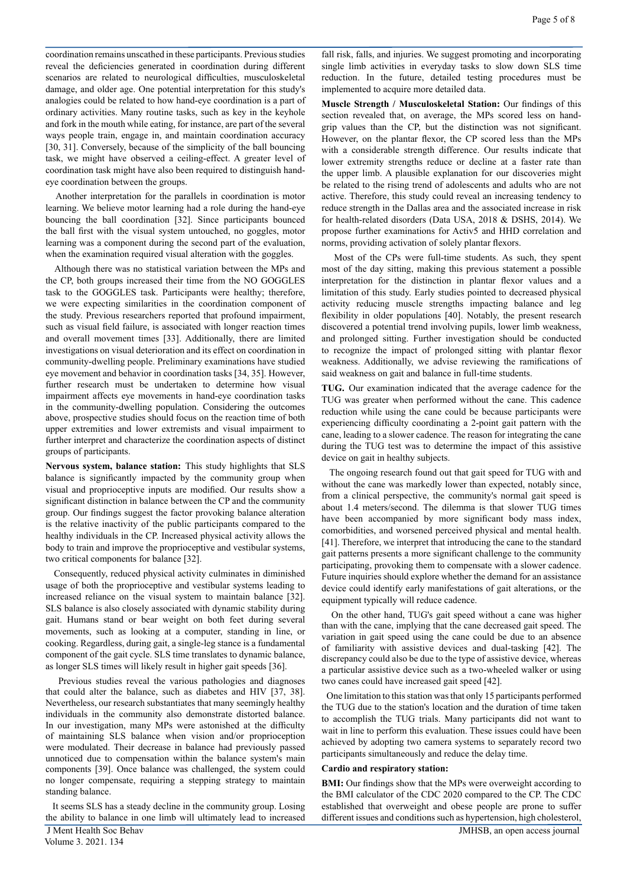coordination remains unscathed in these participants. Previous studies reveal the deficiencies generated in coordination during different scenarios are related to neurological difficulties, musculoskeletal damage, and older age. One potential interpretation for this study's analogies could be related to how hand-eye coordination is a part of ordinary activities. Many routine tasks, such as key in the keyhole and fork in the mouth while eating, for instance, are part of the several ways people train, engage in, and maintain coordination accuracy [30, 31]. Conversely, because of the simplicity of the ball bouncing task, we might have observed a ceiling-effect. A greater level of coordination task might have also been required to distinguish handeye coordination between the groups.

 Another interpretation for the parallels in coordination is motor learning. We believe motor learning had a role during the hand-eye bouncing the ball coordination [32]. Since participants bounced the ball first with the visual system untouched, no goggles, motor learning was a component during the second part of the evaluation, when the examination required visual alteration with the goggles.

 Although there was no statistical variation between the MPs and the CP, both groups increased their time from the NO GOGGLES task to the GOGGLES task. Participants were healthy; therefore, we were expecting similarities in the coordination component of the study. Previous researchers reported that profound impairment, such as visual field failure, is associated with longer reaction times and overall movement times [33]. Additionally, there are limited investigations on visual deterioration and its effect on coordination in community-dwelling people. Preliminary examinations have studied eye movement and behavior in coordination tasks [34, 35]. However, further research must be undertaken to determine how visual impairment affects eye movements in hand-eye coordination tasks in the community-dwelling population. Considering the outcomes above, prospective studies should focus on the reaction time of both upper extremities and lower extremists and visual impairment to further interpret and characterize the coordination aspects of distinct groups of participants.

**Nervous system, balance station:** This study highlights that SLS balance is significantly impacted by the community group when visual and proprioceptive inputs are modified. Our results show a significant distinction in balance between the CP and the community group. Our findings suggest the factor provoking balance alteration is the relative inactivity of the public participants compared to the healthy individuals in the CP. Increased physical activity allows the body to train and improve the proprioceptive and vestibular systems, two critical components for balance [32].

 Consequently, reduced physical activity culminates in diminished usage of both the proprioceptive and vestibular systems leading to increased reliance on the visual system to maintain balance [32]. SLS balance is also closely associated with dynamic stability during gait. Humans stand or bear weight on both feet during several movements, such as looking at a computer, standing in line, or cooking. Regardless, during gait, a single-leg stance is a fundamental component of the gait cycle. SLS time translates to dynamic balance, as longer SLS times will likely result in higher gait speeds [36].

 Previous studies reveal the various pathologies and diagnoses that could alter the balance, such as diabetes and HIV [37, 38]. Nevertheless, our research substantiates that many seemingly healthy individuals in the community also demonstrate distorted balance. In our investigation, many MPs were astonished at the difficulty of maintaining SLS balance when vision and/or proprioception were modulated. Their decrease in balance had previously passed unnoticed due to compensation within the balance system's main components [39]. Once balance was challenged, the system could no longer compensate, requiring a stepping strategy to maintain standing balance.

 J Ment Health Soc Behav JMHSB, an open access journal It seems SLS has a steady decline in the community group. Losing the ability to balance in one limb will ultimately lead to increased

fall risk, falls, and injuries. We suggest promoting and incorporating single limb activities in everyday tasks to slow down SLS time reduction. In the future, detailed testing procedures must be implemented to acquire more detailed data.

**Muscle Strength / Musculoskeletal Station:** Our findings of this section revealed that, on average, the MPs scored less on handgrip values than the CP, but the distinction was not significant. However, on the plantar flexor, the CP scored less than the MPs with a considerable strength difference. Our results indicate that lower extremity strengths reduce or decline at a faster rate than the upper limb. A plausible explanation for our discoveries might be related to the rising trend of adolescents and adults who are not active. Therefore, this study could reveal an increasing tendency to reduce strength in the Dallas area and the associated increase in risk for health-related disorders (Data USA, 2018 & DSHS, 2014). We propose further examinations for Activ5 and HHD correlation and norms, providing activation of solely plantar flexors.

 Most of the CPs were full-time students. As such, they spent most of the day sitting, making this previous statement a possible interpretation for the distinction in plantar flexor values and a limitation of this study. Early studies pointed to decreased physical activity reducing muscle strengths impacting balance and leg flexibility in older populations [40]. Notably, the present research discovered a potential trend involving pupils, lower limb weakness, and prolonged sitting. Further investigation should be conducted to recognize the impact of prolonged sitting with plantar flexor weakness. Additionally, we advise reviewing the ramifications of said weakness on gait and balance in full-time students.

**TUG.** Our examination indicated that the average cadence for the TUG was greater when performed without the cane. This cadence reduction while using the cane could be because participants were experiencing difficulty coordinating a 2-point gait pattern with the cane, leading to a slower cadence. The reason for integrating the cane during the TUG test was to determine the impact of this assistive device on gait in healthy subjects.

 The ongoing research found out that gait speed for TUG with and without the cane was markedly lower than expected, notably since, from a clinical perspective, the community's normal gait speed is about 1.4 meters/second. The dilemma is that slower TUG times have been accompanied by more significant body mass index, comorbidities, and worsened perceived physical and mental health. [41]. Therefore, we interpret that introducing the cane to the standard gait patterns presents a more significant challenge to the community participating, provoking them to compensate with a slower cadence. Future inquiries should explore whether the demand for an assistance device could identify early manifestations of gait alterations, or the equipment typically will reduce cadence.

 On the other hand, TUG's gait speed without a cane was higher than with the cane, implying that the cane decreased gait speed. The variation in gait speed using the cane could be due to an absence of familiarity with assistive devices and dual-tasking [42]. The discrepancy could also be due to the type of assistive device, whereas a particular assistive device such as a two-wheeled walker or using two canes could have increased gait speed [42].

 One limitation to this station was that only 15 participants performed the TUG due to the station's location and the duration of time taken to accomplish the TUG trials. Many participants did not want to wait in line to perform this evaluation. These issues could have been achieved by adopting two camera systems to separately record two participants simultaneously and reduce the delay time.

#### **Cardio and respiratory station:**

**BMI:** Our findings show that the MPs were overweight according to the BMI calculator of the CDC 2020 compared to the CP. The CDC established that overweight and obese people are prone to suffer different issues and conditions such as hypertension, high cholesterol,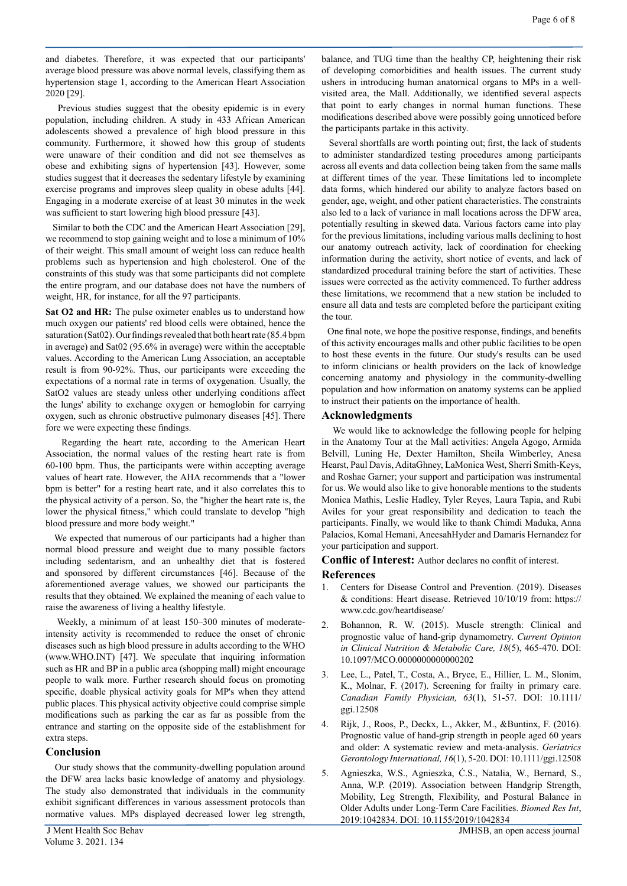and diabetes. Therefore, it was expected that our participants' average blood pressure was above normal levels, classifying them as hypertension stage 1, according to the American Heart Association 2020 [29].

 Previous studies suggest that the obesity epidemic is in every population, including children. A study in 433 African American adolescents showed a prevalence of high blood pressure in this community. Furthermore, it showed how this group of students were unaware of their condition and did not see themselves as obese and exhibiting signs of hypertension [43]. However, some studies suggest that it decreases the sedentary lifestyle by examining exercise programs and improves sleep quality in obese adults [44]. Engaging in a moderate exercise of at least 30 minutes in the week was sufficient to start lowering high blood pressure [43].

 Similar to both the CDC and the American Heart Association [29], we recommend to stop gaining weight and to lose a minimum of 10% of their weight. This small amount of weight loss can reduce health problems such as hypertension and high cholesterol. One of the constraints of this study was that some participants did not complete the entire program, and our database does not have the numbers of weight, HR, for instance, for all the 97 participants.

**Sat O2 and HR:** The pulse oximeter enables us to understand how much oxygen our patients' red blood cells were obtained, hence the saturation (Sat02). Our findings revealed that both heart rate (85.4 bpm in average) and Sat02 (95.6% in average) were within the acceptable values. According to the American Lung Association, an acceptable result is from 90-92%. Thus, our participants were exceeding the expectations of a normal rate in terms of oxygenation. Usually, the SatO2 values are steady unless other underlying conditions affect the lungs' ability to exchange oxygen or hemoglobin for carrying oxygen, such as chronic obstructive pulmonary diseases [45]. There fore we were expecting these findings.

 Regarding the heart rate, according to the American Heart Association, the normal values of the resting heart rate is from 60-100 bpm. Thus, the participants were within accepting average values of heart rate. However, the AHA recommends that a "lower bpm is better" for a resting heart rate, and it also correlates this to the physical activity of a person. So, the "higher the heart rate is, the lower the physical fitness," which could translate to develop "high blood pressure and more body weight."

 We expected that numerous of our participants had a higher than normal blood pressure and weight due to many possible factors including sedentarism, and an unhealthy diet that is fostered and sponsored by different circumstances [46]. Because of the aforementioned average values, we showed our participants the results that they obtained. We explained the meaning of each value to raise the awareness of living a healthy lifestyle.

 Weekly, a minimum of at least 150–300 minutes of moderateintensity activity is recommended to reduce the onset of chronic diseases such as high blood pressure in adults according to the WHO (www.WHO.INT) [47]. We speculate that inquiring information such as HR and BP in a public area (shopping mall) might encourage people to walk more. Further research should focus on promoting specific, doable physical activity goals for MP's when they attend public places. This physical activity objective could comprise simple modifications such as parking the car as far as possible from the entrance and starting on the opposite side of the establishment for extra steps.

# **Conclusion**

Our study shows that the community-dwelling population around the DFW area lacks basic knowledge of anatomy and physiology. The study also demonstrated that individuals in the community exhibit significant differences in various assessment protocols than normative values. MPs displayed decreased lower leg strength,

balance, and TUG time than the healthy CP, heightening their risk of developing comorbidities and health issues. The current study ushers in introducing human anatomical organs to MPs in a wellvisited area, the Mall. Additionally, we identified several aspects that point to early changes in normal human functions. These modifications described above were possibly going unnoticed before the participants partake in this activity.

 Several shortfalls are worth pointing out; first, the lack of students to administer standardized testing procedures among participants across all events and data collection being taken from the same malls at different times of the year. These limitations led to incomplete data forms, which hindered our ability to analyze factors based on gender, age, weight, and other patient characteristics. The constraints also led to a lack of variance in mall locations across the DFW area, potentially resulting in skewed data. Various factors came into play for the previous limitations, including various malls declining to host our anatomy outreach activity, lack of coordination for checking information during the activity, short notice of events, and lack of standardized procedural training before the start of activities. These issues were corrected as the activity commenced. To further address these limitations, we recommend that a new station be included to ensure all data and tests are completed before the participant exiting the tour.

 One final note, we hope the positive response, findings, and benefits of this activity encourages malls and other public facilities to be open to host these events in the future. Our study's results can be used to inform clinicians or health providers on the lack of knowledge concerning anatomy and physiology in the community-dwelling population and how information on anatomy systems can be applied to instruct their patients on the importance of health.

# **Acknowledgments**

We would like to acknowledge the following people for helping in the Anatomy Tour at the Mall activities: Angela Agogo, Armida Belvill, Luning He, Dexter Hamilton, Sheila Wimberley, Anesa Hearst, Paul Davis, AditaGhney, LaMonica West, Sherri Smith-Keys, and Roshae Garner; your support and participation was instrumental for us. We would also like to give honorable mentions to the students Monica Mathis, Leslie Hadley, Tyler Reyes, Laura Tapia, and Rubi Aviles for your great responsibility and dedication to teach the participants. Finally, we would like to thank Chimdi Maduka, Anna Palacios, Komal Hemani, AneesahHyder and Damaris Hernandez for your participation and support.

**Conflic of Interest:** Author declares no conflit of interest.

# **References**

- 1. Centers for Disease Control and Prevention. (2019). Diseases & conditions: Heart disease. Retrieved 10/10/19 from: https:// www.cdc.gov/heartdisease/
- 2. Bohannon, R. W. (2015). Muscle strength: Clinical and prognostic value of hand-grip dynamometry. *Current Opinion in Clinical Nutrition & Metabolic Care, 18*(5), 465-470. DOI: 10.1097/MCO.0000000000000202
- 3. Lee, L., Patel, T., Costa, A., Bryce, E., Hillier, L. M., Slonim, K., Molnar, F. (2017). Screening for frailty in primary care. *Canadian Family Physician, 63*(1), 51-57. DOI: 10.1111/ ggi.12508
- 4. Rijk, J., Roos, P., Deckx, L., Akker, M., &Buntinx, F. (2016). Prognostic value of hand-grip strength in people aged 60 years and older: A systematic review and meta-analysis. *Geriatrics Gerontology International, 16*(1), 5-20. DOI: 10.1111/ggi.12508
- 5. Agnieszka, W.S., Agnieszka, Ć.S., Natalia, W., Bernard, S., Anna, W.P. (2019). Association between Handgrip Strength, Mobility, Leg Strength, Flexibility, and Postural Balance in Older Adults under Long-Term Care Facilities. *Biomed Res Int*, 2019:1042834. DOI: 10.1155/2019/1042834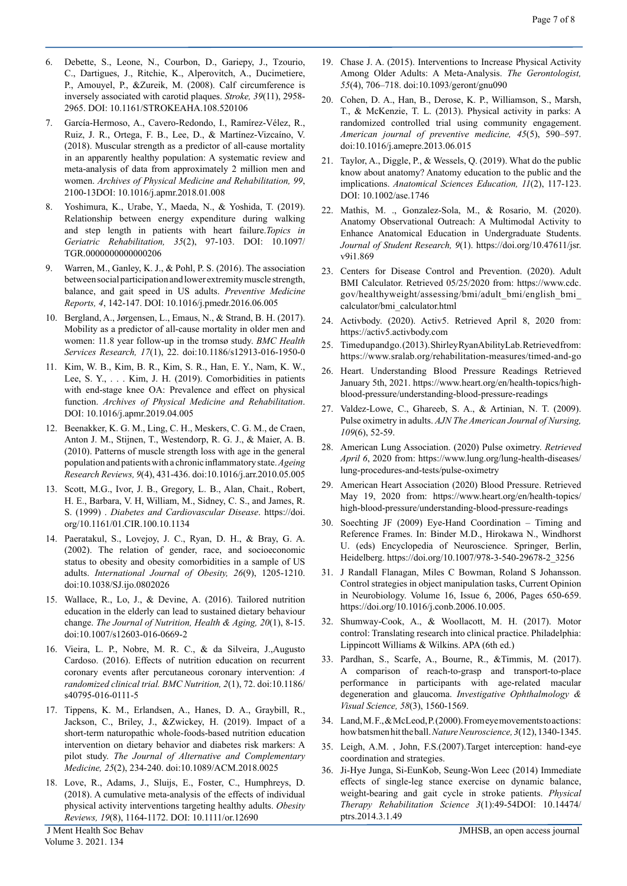- 6. Debette, S., Leone, N., Courbon, D., Gariepy, J., Tzourio, C., Dartigues, J., Ritchie, K., Alperovitch, A., Ducimetiere, P., Amouyel, P., &Zureik, M. (2008). Calf circumference is inversely associated with carotid plaques. *Stroke, 39*(11), 2958- 2965. DOI: 10.1161/STROKEAHA.108.520106
- 7. García-Hermoso, A., Cavero-Redondo, I., Ramírez-Vélez, R., Ruiz, J. R., Ortega, F. B., Lee, D., & Martínez-Vizcaíno, V. (2018). Muscular strength as a predictor of all-cause mortality in an apparently healthy population: A systematic review and meta-analysis of data from approximately 2 million men and women. *Archives of Physical Medicine and Rehabilitation, 99*, 2100-13DOI: 10.1016/j.apmr.2018.01.008
- 8. Yoshimura, K., Urabe, Y., Maeda, N., & Yoshida, T. (2019). Relationship between energy expenditure during walking and step length in patients with heart failure.*Topics in Geriatric Rehabilitation, 35*(2), 97-103. DOI: 10.1097/ TGR.0000000000000206
- Warren, M., Ganley, K. J., & Pohl, P. S. (2016). The association between social participation and lower extremity muscle strength, balance, and gait speed in US adults. *Preventive Medicine Reports, 4*, 142-147. DOI: 10.1016/j.pmedr.2016.06.005
- 10. Bergland, A., Jørgensen, L., Emaus, N., & Strand, B. H. (2017). Mobility as a predictor of all-cause mortality in older men and women: 11.8 year follow-up in the tromsø study. *BMC Health Services Research, 17*(1), 22. doi:10.1186/s12913-016-1950-0
- 11. Kim, W. B., Kim, B. R., Kim, S. R., Han, E. Y., Nam, K. W., Lee, S. Y., . . . Kim, J. H. (2019). Comorbidities in patients with end-stage knee OA: Prevalence and effect on physical function. *Archives of Physical Medicine and Rehabilitation*. DOI: 10.1016/j.apmr.2019.04.005
- 12. Beenakker, K. G. M., Ling, C. H., Meskers, C. G. M., de Craen, Anton J. M., Stijnen, T., Westendorp, R. G. J., & Maier, A. B. (2010). Patterns of muscle strength loss with age in the general population and patients with a chronic inflammatory state. *Ageing Research Reviews, 9*(4), 431-436. doi:10.1016/j.arr.2010.05.005
- 13. Scott, M.G., Ivor, J. B., Gregory, L. B., Alan, Chait., Robert, H. E., Barbara, V. H, William, M., Sidney, C. S., and James, R. S. (1999) . *Diabetes and Cardiovascular Disease*. https://doi. org/10.1161/01.CIR.100.10.1134
- 14. Paeratakul, S., Lovejoy, J. C., Ryan, D. H., & Bray, G. A. (2002). The relation of gender, race, and socioeconomic status to obesity and obesity comorbidities in a sample of US adults. *International Journal of Obesity, 26*(9), 1205-1210. doi:10.1038/SJ.ijo.0802026
- 15. Wallace, R., Lo, J., & Devine, A. (2016). Tailored nutrition education in the elderly can lead to sustained dietary behaviour change. *The Journal of Nutrition, Health & Aging, 20*(1), 8-15. doi:10.1007/s12603-016-0669-2
- 16. Vieira, L. P., Nobre, M. R. C., & da Silveira, J.,Augusto Cardoso. (2016). Effects of nutrition education on recurrent coronary events after percutaneous coronary intervention: *A randomized clinical trial. BMC Nutrition, 2*(1), 72. doi:10.1186/ s40795-016-0111-5
- 17. Tippens, K. M., Erlandsen, A., Hanes, D. A., Graybill, R., Jackson, C., Briley, J., &Zwickey, H. (2019). Impact of a short-term naturopathic whole-foods-based nutrition education intervention on dietary behavior and diabetes risk markers: A pilot study. *The Journal of Alternative and Complementary Medicine, 25*(2), 234-240. doi:10.1089/ACM.2018.0025
- 18. Love, R., Adams, J., Sluijs, E., Foster, C., Humphreys, D. (2018). A cumulative meta-analysis of the effects of individual physical activity interventions targeting healthy adults. *Obesity Reviews, 19*(8), 1164-1172. DOI: 10.1111/or.12690
- 19. Chase J. A. (2015). Interventions to Increase Physical Activity Among Older Adults: A Meta-Analysis. *The Gerontologist, 55*(4), 706–718. doi:10.1093/geront/gnu090
- 20. Cohen, D. A., Han, B., Derose, K. P., Williamson, S., Marsh, T., & McKenzie, T. L. (2013). Physical activity in parks: A randomized controlled trial using community engagement. *American journal of preventive medicine, 45*(5), 590–597. doi:10.1016/j.amepre.2013.06.015
- 21. Taylor, A., Diggle, P., & Wessels, Q. (2019). What do the public know about anatomy? Anatomy education to the public and the implications. *Anatomical Sciences Education, 11*(2), 117-123. DOI: 10.1002/ase.1746
- 22. Mathis, M. ., Gonzalez-Sola, M., & Rosario, M. (2020). Anatomy Observational Outreach: A Multimodal Activity to Enhance Anatomical Education in Undergraduate Students. *Journal of Student Research, 9*(1). https://doi.org/10.47611/jsr. v9i1.869
- 23. Centers for Disease Control and Prevention. (2020). Adult BMI Calculator. Retrieved 05/25/2020 from: https://www.cdc. gov/healthyweight/assessing/bmi/adult\_bmi/english\_bmi\_ calculator/bmi\_calculator.html
- 24. Activbody. (2020). Activ5. Retrieved April 8, 2020 from: https://activ5.activbody.com
- 25. Timed up and go. (2013). Shirley Ryan AbilityLab. Retrieved from: https://www.sralab.org/rehabilitation-measures/timed-and-go
- 26. Heart. Understanding Blood Pressure Readings Retrieved January 5th, 2021. https://www.heart.org/en/health-topics/highblood-pressure/understanding-blood-pressure-readings
- 27. Valdez-Lowe, C., Ghareeb, S. A., & Artinian, N. T. (2009). Pulse oximetry in adults. *AJN The American Journal of Nursing, 109*(6), 52-59.
- 28. American Lung Association. (2020) Pulse oximetry. *Retrieved April 6*, 2020 from: https://www.lung.org/lung-health-diseases/ lung-procedures-and-tests/pulse-oximetry
- 29. American Heart Association (2020) Blood Pressure. Retrieved May 19, 2020 from: https://www.heart.org/en/health-topics/ high-blood-pressure/understanding-blood-pressure-readings
- 30. Soechting JF (2009) Eye-Hand Coordination Timing and Reference Frames. In: Binder M.D., Hirokawa N., Windhorst U. (eds) Encyclopedia of Neuroscience. Springer, Berlin, Heidelberg. https://doi.org/10.1007/978-3-540-29678-2\_3256
- 31. J Randall Flanagan, Miles C Bowman, Roland S Johansson. Control strategies in object manipulation tasks, Current Opinion in Neurobiology. Volume 16, Issue 6, 2006, Pages 650-659. https://doi.org/10.1016/j.conb.2006.10.005.
- 32. Shumway-Cook, A., & Woollacott, M. H. (2017). Motor control: Translating research into clinical practice. Philadelphia: Lippincott Williams & Wilkins. APA (6th ed.)
- 33. Pardhan, S., Scarfe, A., Bourne, R., &Timmis, M. (2017). A comparison of reach-to-grasp and transport-to-place performance in participants with age-related macular degeneration and glaucoma. *Investigative Ophthalmology & Visual Science, 58*(3), 1560-1569.
- 34. Land, M. F., & McLeod, P. (2000). From eye movements to actions: how batsmen hit the ball. *Nature Neuroscience, 3*(12), 1340-1345.
- 35. Leigh, A.M. , John, F.S.(2007).Target interception: hand-eye coordination and strategies.
- 36. Ji-Hye Junga, Si-EunKob, Seung-Won Leec (2014) Immediate effects of single-leg stance exercise on dynamic balance, weight-bearing and gait cycle in stroke patients. *Physical Therapy Rehabilitation Science 3*(1):49-54DOI: 10.14474/ ptrs.2014.3.1.49